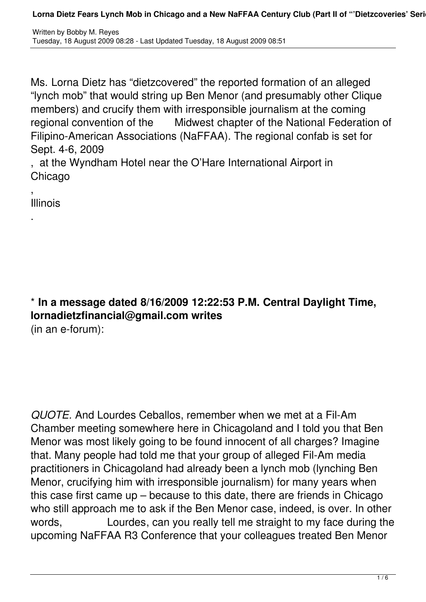Ms. Lorna Dietz has "dietzcovered" the reported formation of an alleged "lynch mob" that would string up Ben Menor (and presumably other Clique members) and crucify them with irresponsible journalism at the coming regional convention of the Midwest chapter of the National Federation of Filipino-American Associations (NaFFAA). The regional confab is set for Sept. 4-6, 2009

, at the Wyndham Hotel near the O'Hare International Airport in Chicago

, Illinois

.

\* **In a message dated 8/16/2009 12:22:53 P.M. Central Daylight Time, lornadietzfinancial@gmail.com writes** (in an e-forum):

*QUOTE.* And Lourdes Ceballos, remember when we met at a Fil-Am Chamber meeting somewhere here in Chicagoland and I told you that Ben Menor was most likely going to be found innocent of all charges? Imagine that. Many people had told me that your group of alleged Fil-Am media practitioners in Chicagoland had already been a lynch mob (lynching Ben Menor, crucifying him with irresponsible journalism) for many years when this case first came up – because to this date, there are friends in Chicago who still approach me to ask if the Ben Menor case, indeed, is over. In other words, Lourdes, can you really tell me straight to my face during the upcoming NaFFAA R3 Conference that your colleagues treated Ben Menor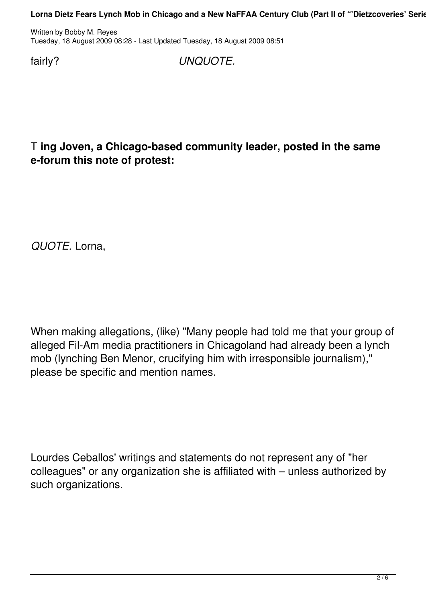Written by Bobby M. Reyes Tuesday, 18 August 2009 08:28 - Last Updated Tuesday, 18 August 2009 08:51

fairly? *UNQUOTE.*

T **ing Joven, a Chicago-based community leader, posted in the same e-forum this note of protest:**

*QUOTE.* Lorna,

When making allegations, (like) "Many people had told me that your group of alleged Fil-Am media practitioners in Chicagoland had already been a lynch mob (lynching Ben Menor, crucifying him with irresponsible journalism)," please be specific and mention names.

Lourdes Ceballos' writings and statements do not represent any of "her colleagues" or any organization she is affiliated with – unless authorized by such organizations.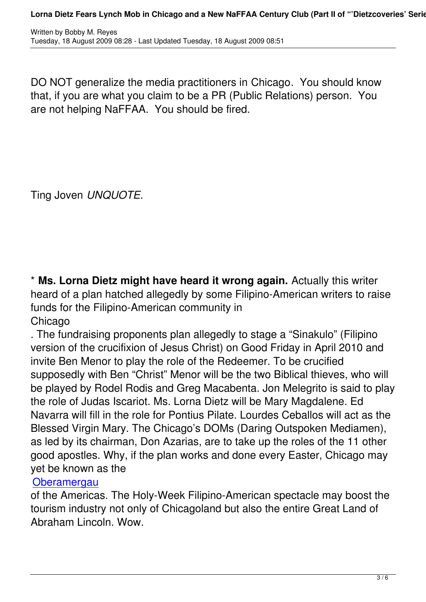DO NOT generalize the media practitioners in Chicago. You should know that, if you are what you claim to be a PR (Public Relations) person. You are not helping NaFFAA. You should be fired.

Ting Joven *UNQUOTE.*

\* **Ms. Lorna Dietz might have heard it wrong again.** Actually this writer heard of a plan hatched allegedly by some Filipino-American writers to raise funds for the Filipino-American community in Chicago

. The fundraising proponents plan allegedly to stage a "Sinakulo" (Filipino version of the crucifixion of Jesus Christ) on Good Friday in April 2010 and invite Ben Menor to play the role of the Redeemer. To be crucified supposedly with Ben "Christ" Menor will be the two Biblical thieves, who will be played by Rodel Rodis and Greg Macabenta. Jon Melegrito is said to play the role of Judas Iscariot. Ms. Lorna Dietz will be Mary Magdalene. Ed Navarra will fill in the role for Pontius Pilate. Lourdes Ceballos will act as the Blessed Virgin Mary. The Chicago's DOMs (Daring Outspoken Mediamen), as led by its chairman, Don Azarias, are to take up the roles of the 11 other good apostles. Why, if the plan works and done every Easter, Chicago may yet be known as the

## **Oberamergau**

of the Americas. The Holy-Week Filipino-American spectacle may boost the tourism industry not only of Chicagoland but also the entire Great Land of [Abraham Linco](http://thomas.tuerke.net/homeland/Oberam.html)ln. Wow.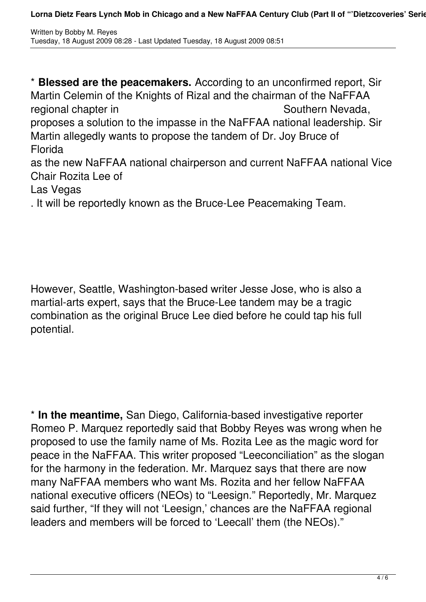\* **Blessed are the peacemakers.** According to an unconfirmed report, Sir Martin Celemin of the Knights of Rizal and the chairman of the NaFFAA regional chapter in Southern Nevada, proposes a solution to the impasse in the NaFFAA national leadership. Sir Martin allegedly wants to propose the tandem of Dr. Joy Bruce of **Florida** as the new NaFFAA national chairperson and current NaFFAA national Vice Chair Rozita Lee of Las Vegas . It will be reportedly known as the Bruce-Lee Peacemaking Team.

However, Seattle, Washington-based writer Jesse Jose, who is also a martial-arts expert, says that the Bruce-Lee tandem may be a tragic combination as the original Bruce Lee died before he could tap his full potential.

\* **In the meantime,** San Diego, California-based investigative reporter Romeo P. Marquez reportedly said that Bobby Reyes was wrong when he proposed to use the family name of Ms. Rozita Lee as the magic word for peace in the NaFFAA. This writer proposed "Leeconciliation" as the slogan for the harmony in the federation. Mr. Marquez says that there are now many NaFFAA members who want Ms. Rozita and her fellow NaFFAA national executive officers (NEOs) to "Leesign." Reportedly, Mr. Marquez said further, "If they will not 'Leesign,' chances are the NaFFAA regional leaders and members will be forced to 'Leecall' them (the NEOs)."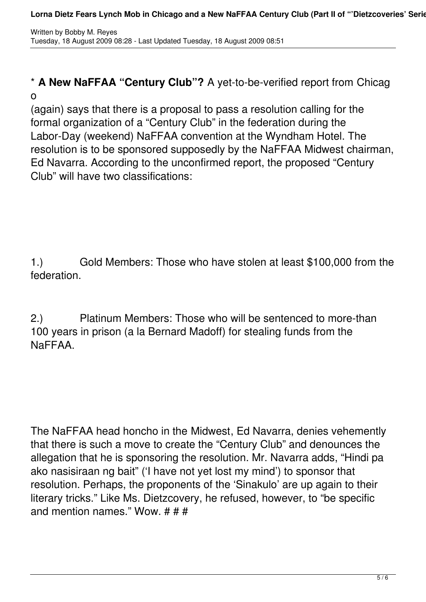## \* **A New NaFFAA "Century Club"?** A yet-to-be-verified report from Chicag o

(again) says that there is a proposal to pass a resolution calling for the formal organization of a "Century Club" in the federation during the Labor-Day (weekend) NaFFAA convention at the Wyndham Hotel. The resolution is to be sponsored supposedly by the NaFFAA Midwest chairman, Ed Navarra. According to the unconfirmed report, the proposed "Century Club" will have two classifications:

1.) Gold Members: Those who have stolen at least \$100,000 from the federation.

2.) Platinum Members: Those who will be sentenced to more-than 100 years in prison (a la Bernard Madoff) for stealing funds from the NaFFAA.

The NaFFAA head honcho in the Midwest, Ed Navarra, denies vehemently that there is such a move to create the "Century Club" and denounces the allegation that he is sponsoring the resolution. Mr. Navarra adds, "Hindi pa ako nasisiraan ng bait" ('I have not yet lost my mind') to sponsor that resolution. Perhaps, the proponents of the 'Sinakulo' are up again to their literary tricks." Like Ms. Dietzcovery, he refused, however, to "be specific and mention names." Wow. # # #